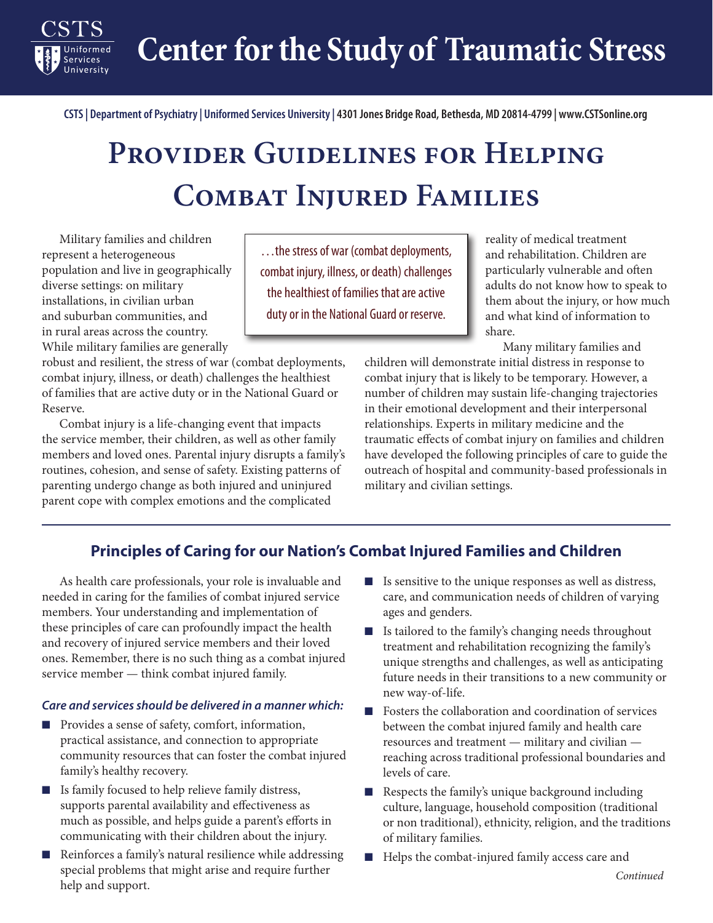**Center for the Study of Traumatic Stress**

**CSTS | Department of Psychiatry | Uniformed Services University | 4301 Jones Bridge Road, Bethesda, MD 20814-4799 | www.CSTSonline.org**

## **Provider Guidelines for Helping Combat Injured Families**

Military families and children represent a heterogeneous population and live in geographically diverse settings: on military installations, in civilian urban and suburban communities, and in rural areas across the country. While military families are generally

Services University

robust and resilient, the stress of war (combat deployments, combat injury, illness, or death) challenges the healthiest of families that are active duty or in the National Guard or Reserve.

Combat injury is a life-changing event that impacts the service member, their children, as well as other family members and loved ones. Parental injury disrupts a family's routines, cohesion, and sense of safety. Existing patterns of parenting undergo change as both injured and uninjured parent cope with complex emotions and the complicated

…the stress of war (combat deployments, combat injury, illness, or death) challenges the healthiest of families that are active duty or in the National Guard or reserve.

reality of medical treatment and rehabilitation. Children are particularly vulnerable and often adults do not know how to speak to them about the injury, or how much and what kind of information to share.

Many military families and

children will demonstrate initial distress in response to combat injury that is likely to be temporary. However, a number of children may sustain life-changing trajectories in their emotional development and their interpersonal relationships. Experts in military medicine and the traumatic effects of combat injury on families and children have developed the following principles of care to guide the outreach of hospital and community-based professionals in military and civilian settings.

## **Principles of Caring for our Nation's Combat Injured Families and Children**

As health care professionals, your role is invaluable and needed in caring for the families of combat injured service members. Your understanding and implementation of these principles of care can profoundly impact the health and recovery of injured service members and their loved ones. Remember, there is no such thing as a combat injured service member — think combat injured family.

## *Care and services should be delivered in a manner which:*

- Provides a sense of safety, comfort, information, practical assistance, and connection to appropriate community resources that can foster the combat injured family's healthy recovery.
- Is family focused to help relieve family distress, supports parental availability and effectiveness as much as possible, and helps guide a parent's efforts in communicating with their children about the injury.
- Reinforces a family's natural resilience while addressing special problems that might arise and require further help and support.
- Is sensitive to the unique responses as well as distress, care, and communication needs of children of varying ages and genders.
- Is tailored to the family's changing needs throughout treatment and rehabilitation recognizing the family's unique strengths and challenges, as well as anticipating future needs in their transitions to a new community or new way-of-life.
- Fosters the collaboration and coordination of services between the combat injured family and health care resources and treatment — military and civilian reaching across traditional professional boundaries and levels of care.
- Respects the family's unique background including culture, language, household composition (traditional or non traditional), ethnicity, religion, and the traditions of military families.
- Helps the combat-injured family access care and